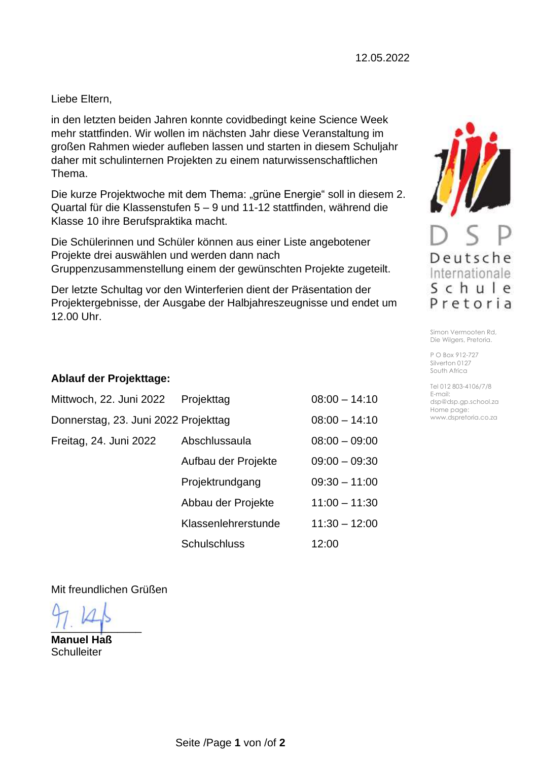Liebe Eltern,

in den letzten beiden Jahren konnte covidbedingt keine Science Week mehr stattfinden. Wir wollen im nächsten Jahr diese Veranstaltung im großen Rahmen wieder aufleben lassen und starten in diesem Schuljahr daher mit schulinternen Projekten zu einem naturwissenschaftlichen Thema.

Die kurze Projektwoche mit dem Thema: "grüne Energie" soll in diesem 2. Quartal für die Klassenstufen 5 – 9 und 11-12 stattfinden, während die Klasse 10 ihre Berufspraktika macht.

Die Schülerinnen und Schüler können aus einer Liste angebotener Projekte drei auswählen und werden dann nach Gruppenzusammenstellung einem der gewünschten Projekte zugeteilt.

Der letzte Schultag vor den Winterferien dient der Präsentation der Projektergebnisse, der Ausgabe der Halbjahreszeugnisse und endet um 12.00 Uhr.

## **Ablauf der Projekttage:**

| Mittwoch, 22. Juni 2022              | Projekttag          | $08:00 - 14:10$ |
|--------------------------------------|---------------------|-----------------|
| Donnerstag, 23. Juni 2022 Projekttag |                     | $08:00 - 14:10$ |
| Freitag, 24. Juni 2022               | Abschlussaula       | $08:00 - 09:00$ |
|                                      | Aufbau der Projekte | $09:00 - 09:30$ |
|                                      | Projektrundgang     | $09:30 - 11:00$ |
|                                      | Abbau der Projekte  | $11:00 - 11:30$ |
|                                      | Klassenlehrerstunde | $11:30 - 12:00$ |
|                                      | <b>Schulschluss</b> | 12:00           |

Mit freundlichen Grüßen

 $\frac{1}{2}$ 

**Manuel Haß Schulleiter** 



Simon Vermooten Rd, Die Wilgers, Pretoria.

P O Box 912-727 Silverton 0127 South Africa

Tel 012 803-4106/7/8 E-mail: dsp@dsp.gp.school.za Home page: www.dspretoria.co.za